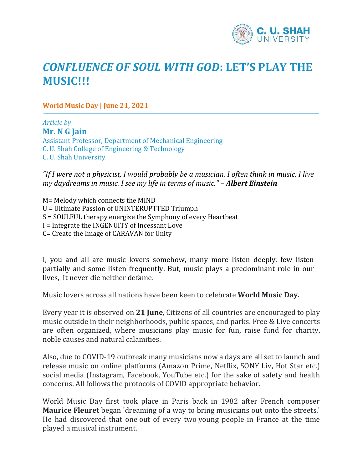

## *CONFLUENCE OF SOUL WITH GOD***: LET'S PLAY THE MUSIC!!!**

**World Music Day | June 21, 2021**

*Article by* **Mr. N G Jain** Assistant Professor, Department of Mechanical Engineering C. U. Shah College of Engineering & Technology C. U. Shah University

*"If I were not a physicist, I would probably be a musician. I often think in music. I live my daydreams in music. I see my life in terms of music."* – *Albert Einstein*

M= Melody which connects the MIND U = Ultimate Passion of UNINTERUPTTED Triumph S = SOULFUL therapy energize the Symphony of every Heartbeat I = Integrate the INGENUITY of Incessant Love C= Create the Image of CARAVAN for Unity

I, you and all are music lovers somehow, many more listen deeply, few listen partially and some listen frequently. But, music plays a predominant role in our lives, It never die neither defame.

Music lovers across all nations have been keen to celebrate **World Music Day.**

Every year it is observed on **21 June**, Citizens of all countries are encouraged to play music outside in their neighborhoods, public spaces, and parks. Free & Live concerts are often organized, where musicians play music for fun, raise fund for charity, noble causes and natural calamities.

Also, due to COVID-19 outbreak many musicians now a days are all set to launch and release music on online platforms (Amazon Prime, Netflix, SONY Liv, Hot Star etc.) social media (Instagram, Facebook, YouTube etc.) for the sake of safety and health concerns. All follows the protocols of COVID appropriate behavior.

World Music Day first took place in Paris back in 1982 after French composer **Maurice Fleuret** began 'dreaming of a way to bring musicians out onto the streets.' He had discovered that one out of every two young people in France at the time played a musical instrument.